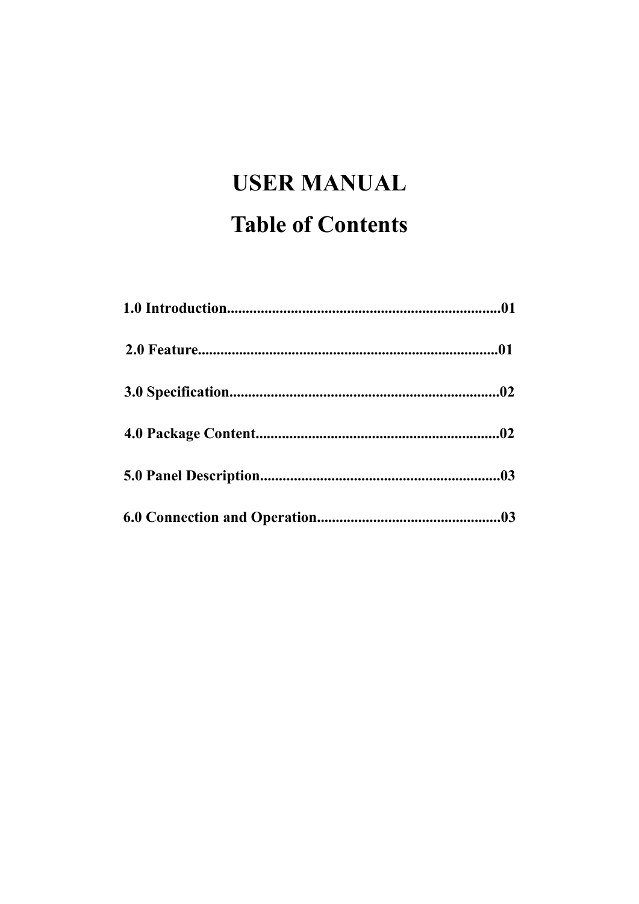# **USER MANUAL Table of Contents**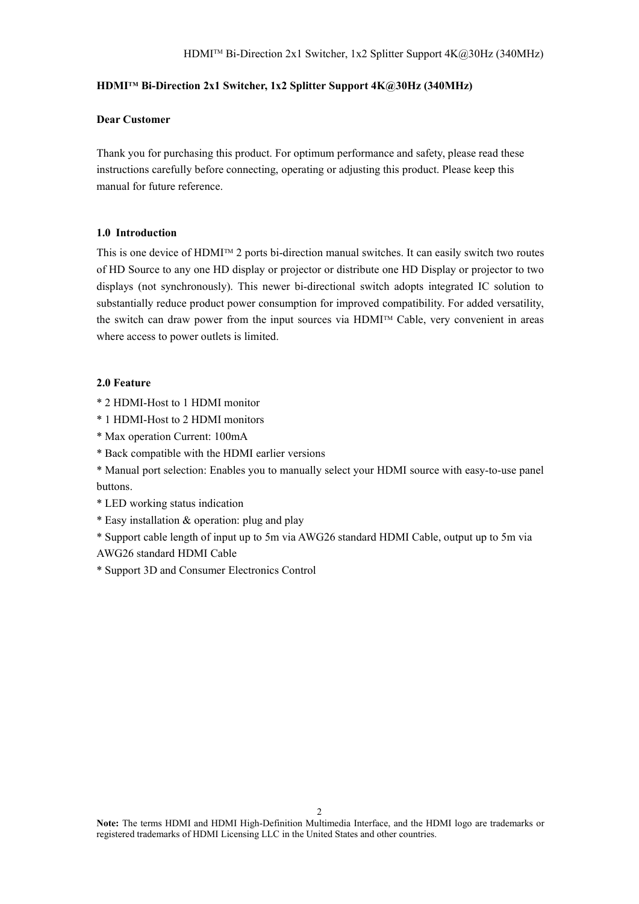#### **HDMI TM Bi-Direction 2x1 Switcher, 1x2 Splitter Support 4K@30Hz (340MHz)**

#### **Dear Customer**

Thank you for purchasing this product. For optimum performance and safety, please read these instructions carefully before connecting, operating or adjusting this product. Please keep this manual for future reference.

#### **1.0 Introduction**

This is one device of  $HDMI^{\text{TM}}$  2 ports bi-direction manual switches. It can easily switch two routes of HD Source to any one HD display or projector or distribute one HD Display or projector to two displays (not synchronously). This newer bi-directional switch adopts integrated IC solution to substantially reduce product power consumption for improved compatibility. For added versatility, the switch can draw power from the input sources via HDMI<sup>TM</sup> Cable, very convenient in areas where access to power outlets is limited.

## **2.0 Feature**

- \* 2 HDMI-Host to 1 HDMI monitor
- \* 1 HDMI-Host to 2 HDMI monitors
- \* Max operation Current: 100mA
- \* Back compatible with the HDMI earlier versions
- \* Manual port selection: Enables you to manually select your HDMI source with easy-to-use panel buttons.
- \* LED working status indication
- \* Easy installation & operation: plug and play
- \* Support cable length of input up to 5m via AWG26 standard HDMI Cable, output up to 5m via AWG26 standard HDMI Cable
- \* Support 3D and Consumer Electronics Control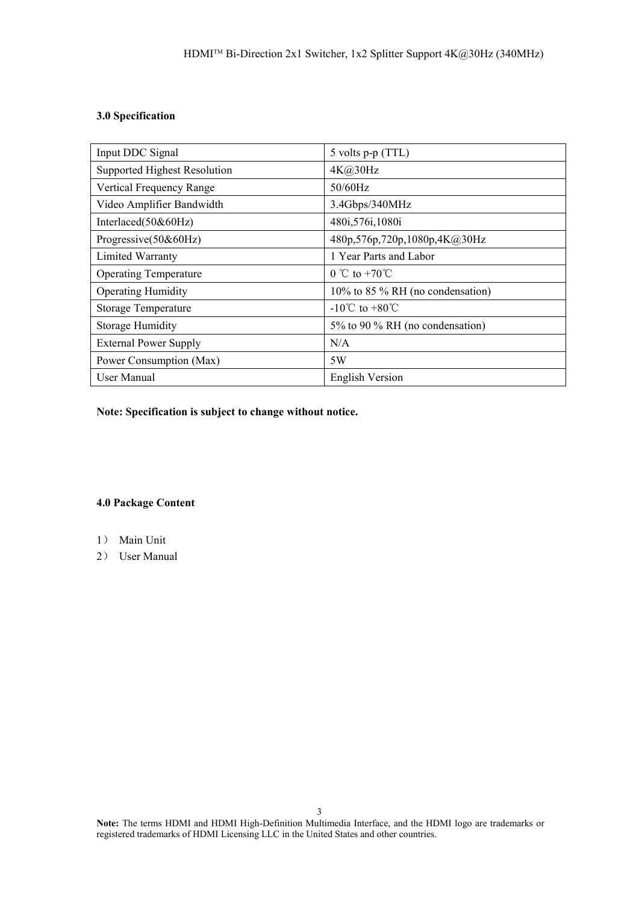# **3.0 Specification**

| Input DDC Signal             | 5 volts p-p (TTL)                  |  |
|------------------------------|------------------------------------|--|
| Supported Highest Resolution | 4K@30Hz                            |  |
| Vertical Frequency Range     | $50/60$ Hz                         |  |
| Video Amplifier Bandwidth    | 3.4Gbps/340MHz                     |  |
| Interlaced(50&60Hz)          | 480i, 576i, 1080i                  |  |
| Progressive(50&60Hz)         | 480p,576p,720p,1080p,4K@30Hz       |  |
| Limited Warranty             | 1 Year Parts and Labor             |  |
| <b>Operating Temperature</b> | $0 \text{ °C}$ to +70 $\text{°C}$  |  |
| <b>Operating Humidity</b>    | 10% to 85 % RH (no condensation)   |  |
| <b>Storage Temperature</b>   | $-10^{\circ}$ C to $+80^{\circ}$ C |  |
| <b>Storage Humidity</b>      | 5% to 90 % RH (no condensation)    |  |
| <b>External Power Supply</b> | N/A                                |  |
| Power Consumption (Max)      | 5W                                 |  |
| User Manual                  | <b>English Version</b>             |  |

**Note:** Specification is subject to change without notice.

## **4.0 Package Content**

- 1) Main Unit
- 2) User Manual